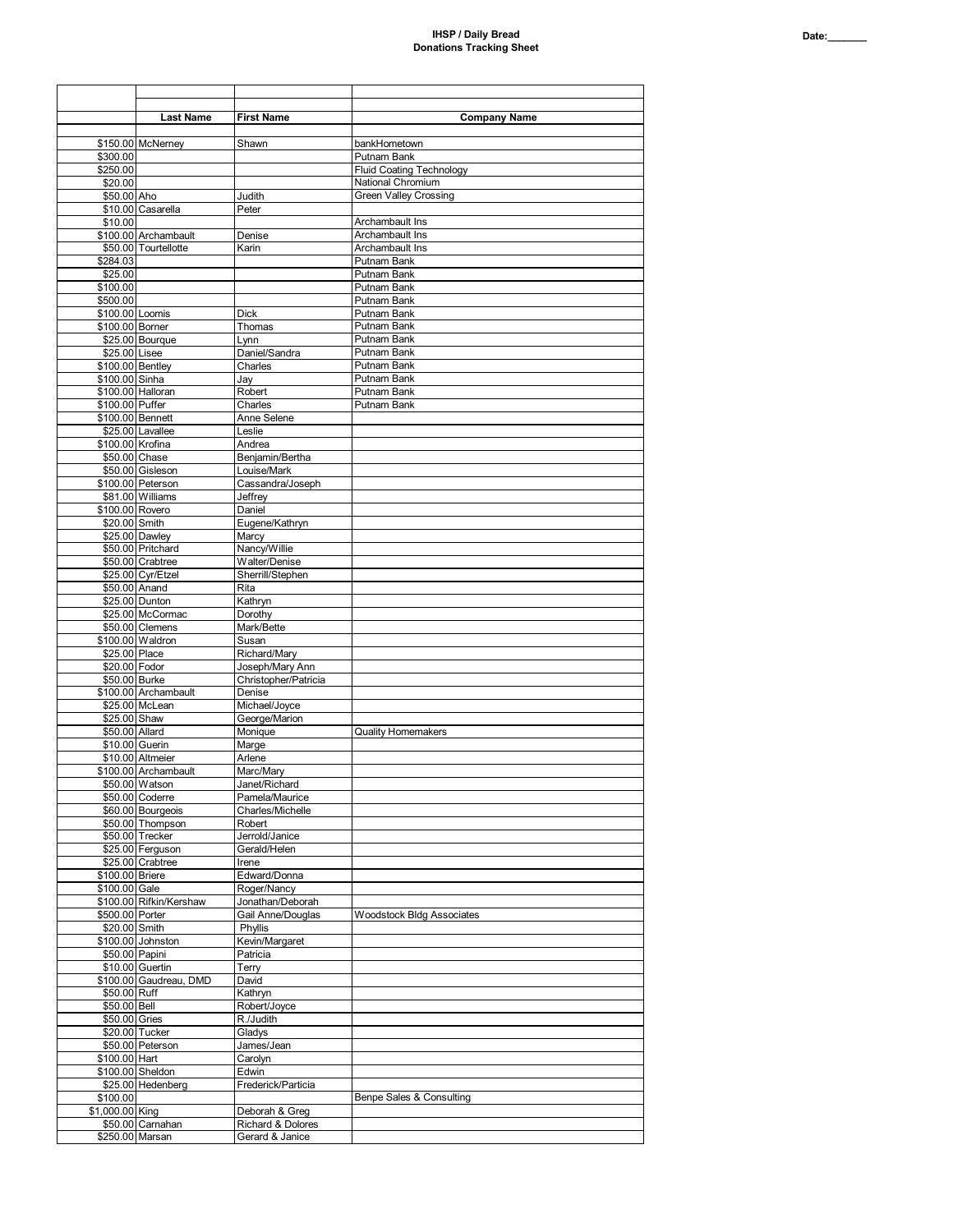|                                  | <b>Last Name</b>                         | <b>First Name</b>                    | <b>Company Name</b>                            |
|----------------------------------|------------------------------------------|--------------------------------------|------------------------------------------------|
|                                  |                                          |                                      |                                                |
|                                  | \$150.00 McNerney                        | Shawn                                | bankHometown                                   |
| \$300.00<br>\$250.00             |                                          |                                      | Putnam Bank<br><b>Fluid Coating Technology</b> |
| \$20.00                          |                                          |                                      | National Chromium                              |
| \$50.00 Aho                      |                                          | Judith                               | <b>Green Valley Crossing</b>                   |
| \$10.00                          | \$10.00 Casarella                        | Peter                                | Archambault Ins                                |
|                                  | \$100.00 Archambault                     | Denise                               | Archambault Ins                                |
|                                  | \$50.00 Tourtellotte                     | Karin                                | Archambault Ins                                |
| \$284.03                         |                                          |                                      | Putnam Bank                                    |
| \$25.00<br>\$100.00              |                                          |                                      | <b>Putnam Bank</b><br>Putnam Bank              |
| \$500.00                         |                                          |                                      | Putnam Bank                                    |
| \$100.00 Loomis                  |                                          | <b>Dick</b>                          | Putnam Bank                                    |
| \$100.00 Borner                  |                                          | Thomas                               | Putnam Bank                                    |
| \$25.00 Lisee                    | \$25.00 Bourque                          | Lynn<br>Daniel/Sandra                | Putnam Bank<br>Putnam Bank                     |
| \$100.00 Bentley                 |                                          | Charles                              | Putnam Bank                                    |
| \$100.00 Sinha                   |                                          | Jay                                  | Putnam Bank                                    |
| \$100.00 Puffer                  | \$100.00 Halloran                        | Robert<br>Charles                    | Putnam Bank<br>Putnam Bank                     |
| \$100.00 Bennett                 |                                          | Anne Selene                          |                                                |
|                                  | \$25.00 Lavallee                         | Leslie                               |                                                |
| \$100.00 Krofina                 |                                          | Andrea                               |                                                |
| \$50.00 Chase                    | \$50.00 Gisleson                         | Benjamin/Bertha<br>Louise/Mark       |                                                |
|                                  | \$100.00 Peterson                        | Cassandra/Joseph                     |                                                |
|                                  | \$81.00 Williams                         | Jeffrey                              |                                                |
| \$100.00 Rovero                  |                                          | Daniel                               |                                                |
| \$20.00 Smith                    | \$25.00 Dawley                           | Eugene/Kathryn<br>Marcy              |                                                |
|                                  | \$50.00 Pritchard                        | Nancy/Willie                         |                                                |
|                                  | \$50.00 Crabtree                         | Walter/Denise                        |                                                |
| \$50.00 Anand                    | \$25.00 Cyr/Etzel                        | Sherrill/Stephen<br>Rita             |                                                |
|                                  | \$25.00 Dunton                           | Kathryn                              |                                                |
|                                  | \$25.00 McCormac                         | Dorothy                              |                                                |
|                                  | \$50.00 Clemens                          | Mark/Bette                           |                                                |
| \$25.00 Place                    | \$100.00 Waldron                         | Susan<br>Richard/Mary                |                                                |
| \$20.00 Fodor                    |                                          | Joseph/Mary Ann                      |                                                |
| \$50.00 Burke                    |                                          | Christopher/Patricia                 |                                                |
|                                  | \$100.00 Archambault<br>\$25.00 McLean   | Denise<br>Michael/Joyce              |                                                |
| \$25.00 Shaw                     |                                          | George/Marion                        |                                                |
| \$50.00 Allard                   |                                          | Monique                              | <b>Quality Homemakers</b>                      |
| \$10.00 Guerin                   |                                          | Marge                                |                                                |
|                                  | \$10.00 Altmeier<br>\$100.00 Archambault | Arlene<br>Marc/Mary                  |                                                |
|                                  | \$50.00 Watson                           | Janet/Richard                        |                                                |
|                                  | \$50.00 Coderre                          | Pamela/Maurice                       |                                                |
|                                  | \$60.00 Bourgeois<br>\$50.00 Thompson    | Charles/Michelle<br>Robert           |                                                |
|                                  | \$50.00 Trecker                          | Jerrold/Janice                       |                                                |
|                                  | \$25.00 Ferguson                         | Gerald/Helen                         |                                                |
|                                  | \$25.00 Crabtree                         | Irene                                |                                                |
| \$100.00 Briere<br>\$100.00 Gale |                                          | Edward/Donna<br>Roger/Nancy          |                                                |
|                                  | \$100.00 Rifkin/Kershaw                  | Jonathan/Deborah                     |                                                |
| \$500.00 Porter                  |                                          | Gail Anne/Douglas                    | <b>Woodstock Bldg Associates</b>               |
| \$20.00 Smith                    |                                          | Phyllis                              |                                                |
| \$50.00 Papini                   | \$100.00 Johnston                        | Kevin/Margaret<br>Patricia           |                                                |
|                                  | \$10.00 Guertin                          | Terry                                |                                                |
|                                  | \$100.00 Gaudreau, DMD                   | David                                |                                                |
| \$50.00 Ruff<br>\$50.00 Bell     |                                          | Kathryn<br>Robert/Joyce              |                                                |
| \$50.00 Gries                    |                                          | R./Judith                            |                                                |
|                                  | \$20.00 Tucker                           | Gladys                               |                                                |
|                                  | \$50.00 Peterson                         | James/Jean                           |                                                |
| \$100.00 Hart                    | \$100.00 Sheldon                         | Carolyn<br>Edwin                     |                                                |
|                                  | \$25.00 Hedenberg                        | Frederick/Particia                   |                                                |
| \$100.00                         |                                          |                                      | Benpe Sales & Consulting                       |
| \$1,000.00 King                  |                                          | Deborah & Greg                       |                                                |
| \$250.00 Marsan                  | \$50.00 Carnahan                         | Richard & Dolores<br>Gerard & Janice |                                                |
|                                  |                                          |                                      |                                                |

┑

 $\mathsf{r}$ 

┱

┱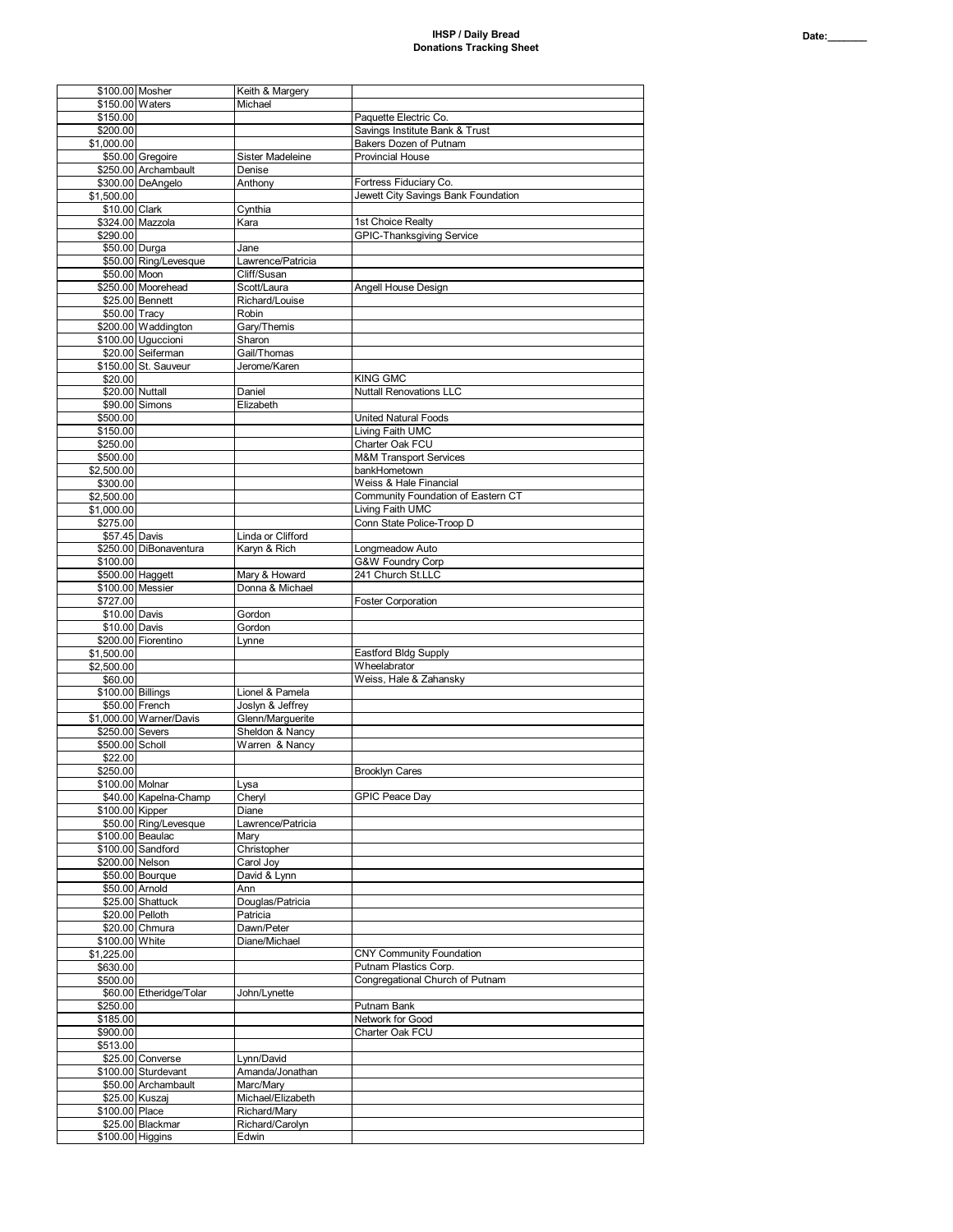| \$100.00 Mosher   |                                         | Keith & Margery                |                                     |
|-------------------|-----------------------------------------|--------------------------------|-------------------------------------|
| \$150.00 Waters   |                                         | Michael                        |                                     |
| \$150.00          |                                         |                                | Paquette Electric Co.               |
| \$200.00          |                                         |                                | Savings Institute Bank & Trust      |
| \$1,000.00        |                                         |                                | Bakers Dozen of Putnam              |
|                   | \$50.00 Gregoire                        | Sister Madeleine               | <b>Provincial House</b>             |
|                   | \$250.00 Archambault                    | Denise                         |                                     |
|                   | \$300.00 DeAngelo                       | Anthony                        | Fortress Fiduciary Co.              |
| \$1,500.00        |                                         |                                | Jewett City Savings Bank Foundation |
| \$10.00 Clark     |                                         | Cynthia                        |                                     |
|                   | \$324.00 Mazzola                        | Kara                           | 1st Choice Realty                   |
| \$290.00          |                                         |                                | <b>GPIC-Thanksgiving Service</b>    |
| \$50.00 Durga     |                                         | Jane                           |                                     |
|                   | \$50.00 Ring/Levesque                   | Lawrence/Patricia              |                                     |
| \$50.00 Moon      |                                         | Cliff/Susan                    |                                     |
|                   | \$250.00 Moorehead                      | Scott/Laura                    | Angell House Design                 |
|                   | \$25.00 Bennett                         | Richard/Louise                 |                                     |
| \$50.00 Tracy     |                                         | <b>Robin</b>                   |                                     |
|                   | \$200.00 Waddington                     | Gary/Themis                    |                                     |
|                   | \$100.00 Uguccioni                      | Sharon                         |                                     |
|                   | \$20.00 Seiferman                       | Gail/Thomas                    |                                     |
|                   | \$150.00 St. Sauveur                    | Jerome/Karen                   |                                     |
| \$20.00           |                                         |                                | <b>KING GMC</b>                     |
| \$20.00 Nuttall   |                                         | Daniel                         | <b>Nuttall Renovations LLC</b>      |
|                   | \$90.00 Simons                          | Elizabeth                      |                                     |
|                   |                                         |                                |                                     |
| \$500.00          |                                         |                                | <b>United Natural Foods</b>         |
| \$150.00          |                                         |                                | Living Faith UMC                    |
| \$250.00          |                                         |                                | Charter Oak FCU                     |
| \$500.00          |                                         |                                | <b>M&amp;M Transport Services</b>   |
| \$2,500.00        |                                         |                                | bankHometown                        |
| \$300.00          |                                         |                                | Weiss & Hale Financial              |
| \$2,500.00        |                                         |                                | Community Foundation of Eastern CT  |
| \$1,000.00        |                                         |                                | Living Faith UMC                    |
| \$275.00          |                                         |                                | Conn State Police-Troop D           |
| \$57.45 Davis     |                                         | Linda or Clifford              |                                     |
|                   | \$250.00 DiBonaventura                  | Karyn & Rich                   | Longmeadow Auto                     |
| \$100.00          |                                         |                                | G&W Foundry Corp                    |
| \$500.00 Haggett  |                                         | Mary & Howard                  | 241 Church St.LLC                   |
|                   | \$100.00 Messier                        | Donna & Michael                |                                     |
| \$727.00          |                                         |                                | <b>Foster Corporation</b>           |
| \$10.00 Davis     |                                         | Gordon                         |                                     |
| \$10.00 Davis     |                                         | Gordon                         |                                     |
|                   |                                         |                                |                                     |
|                   |                                         |                                |                                     |
|                   | \$200.00 Fiorentino                     | Lynne                          |                                     |
| \$1,500.00        |                                         |                                | <b>Eastford Bldg Supply</b>         |
| \$2,500.00        |                                         |                                | Wheelabrator                        |
| \$60.00           |                                         |                                | Weiss, Hale & Zahansky              |
| \$100.00 Billings |                                         | Lionel & Pamela                |                                     |
|                   | \$50.00 French                          | Joslyn & Jeffrey               |                                     |
|                   | \$1,000.00 Warner/Davis                 | Glenn/Marguerite               |                                     |
| \$250.00 Severs   |                                         | Sheldon & Nancy                |                                     |
| \$500.00 Scholl   |                                         | Warren & Nancy                 |                                     |
| \$22.00           |                                         |                                |                                     |
| \$250.00          |                                         |                                | <b>Brooklyn Cares</b>               |
| \$100.00 Molnar   |                                         | Lysa                           |                                     |
|                   | \$40.00 Kapelna-Champ                   | Cheryl                         | <b>GPIC Peace Day</b>               |
| \$100.00 Kipper   |                                         | Diane                          |                                     |
|                   | \$50.00 Ring/Levesque                   | Lawrence/Patricia              |                                     |
|                   | \$100.00 Beaulac                        | Mary                           |                                     |
|                   | \$100.00 Sandford                       | Christopher                    |                                     |
| \$200.00 Nelson   |                                         | Carol Joy                      |                                     |
|                   | \$50.00 Bourque                         | David & Lynn                   |                                     |
|                   | \$50.00 Arnold                          | Ann                            |                                     |
|                   | \$25.00 Shattuck                        | Douglas/Patricia               |                                     |
|                   | \$20.00 Pelloth                         | Patricia                       |                                     |
|                   | \$20.00 Chmura                          | Dawn/Peter                     |                                     |
| \$100.00 White    |                                         | Diane/Michael                  |                                     |
| \$1,225.00        |                                         |                                | <b>CNY Community Foundation</b>     |
| \$630.00          |                                         |                                | Putnam Plastics Corp.               |
| \$500.00          |                                         |                                | Congregational Church of Putnam     |
|                   | \$60.00 Etheridge/Tolar                 | John/Lynette                   |                                     |
| \$250.00          |                                         |                                | Putnam Bank                         |
| \$185.00          |                                         |                                | Network for Good                    |
| \$900.00          |                                         |                                | Charter Oak FCU                     |
| \$513.00          |                                         |                                |                                     |
|                   |                                         | Lynn/David                     |                                     |
|                   | \$25.00 Converse<br>\$100.00 Sturdevant |                                |                                     |
|                   |                                         | Amanda/Jonathan                |                                     |
|                   | \$50.00 Archambault                     | Marc/Mary<br>Michael/Elizabeth |                                     |
|                   | \$25.00 Kuszaj                          |                                |                                     |
| \$100.00 Place    |                                         | Richard/Mary                   |                                     |
| \$100.00 Higgins  | \$25.00 Blackmar                        | Richard/Carolyn<br>Edwin       |                                     |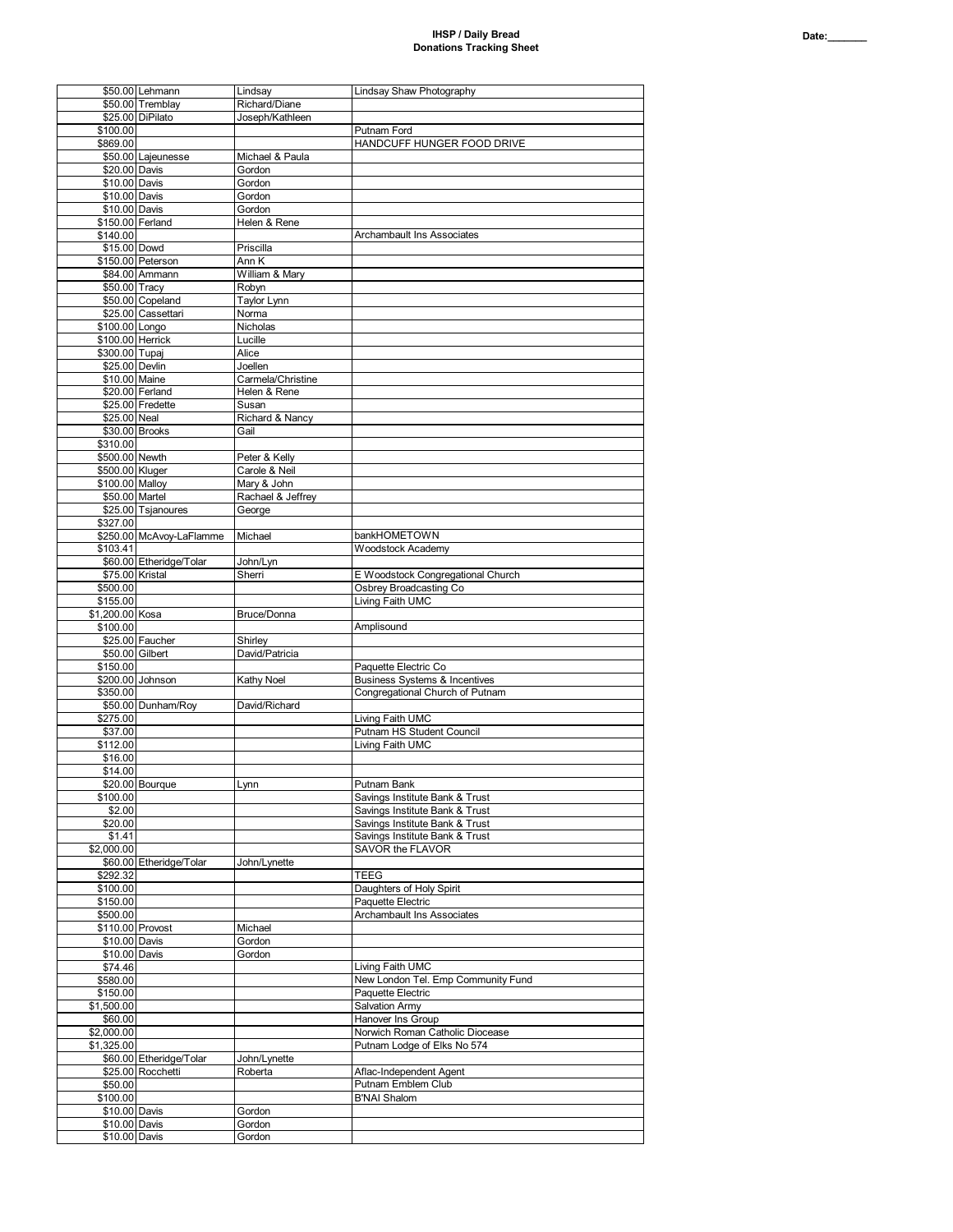## **IHSP / Daily Bread Donations Tracking Sheet**

|                 | \$50.00 Lehmann          | Lindsay           | Lindsay Shaw Photography                 |
|-----------------|--------------------------|-------------------|------------------------------------------|
|                 | \$50.00 Tremblay         | Richard/Diane     |                                          |
|                 | \$25.00 DiPilato         | Joseph/Kathleen   |                                          |
| \$100.00        |                          |                   | Putnam Ford                              |
| \$869.00        |                          |                   | HANDCUFF HUNGER FOOD DRIVE               |
|                 | \$50.00 Lajeunesse       | Michael & Paula   |                                          |
|                 | \$20.00 Davis            | Gordon            |                                          |
| \$10.00 Davis   |                          | Gordon            |                                          |
|                 | \$10.00 Davis            | Gordon            |                                          |
| \$10.00 Davis   |                          | Gordon            |                                          |
|                 | \$150.00 Ferland         | Helen & Rene      |                                          |
| \$140.00        |                          |                   | Archambault Ins Associates               |
|                 | \$15.00 Dowd             | Priscilla         |                                          |
|                 | \$150.00 Peterson        | Ann K             |                                          |
|                 | \$84.00 Ammann           | William & Mary    |                                          |
|                 |                          |                   |                                          |
|                 | \$50.00 Tracy            | Robyn             |                                          |
|                 | \$50.00 Copeland         | Taylor Lynn       |                                          |
|                 | \$25.00 Cassettari       | Norma             |                                          |
| \$100.00 Longo  |                          | Nicholas          |                                          |
|                 | \$100.00 Herrick         | Lucille           |                                          |
| \$300.00 Tupaj  |                          | Alice             |                                          |
|                 | \$25.00 Devlin           | Joellen           |                                          |
|                 | \$10.00 Maine            | Carmela/Christine |                                          |
|                 | \$20.00 Ferland          | Helen & Rene      |                                          |
|                 | \$25.00 Fredette         | Susan             |                                          |
| \$25.00 Neal    |                          | Richard & Nancy   |                                          |
|                 | \$30.00 Brooks           | Gail              |                                          |
| \$310.00        |                          |                   |                                          |
| \$500.00 Newth  |                          | Peter & Kelly     |                                          |
| \$500.00 Kluger |                          | Carole & Neil     |                                          |
| \$100.00 Malloy |                          | Mary & John       |                                          |
|                 | \$50.00 Martel           | Rachael & Jeffrey |                                          |
|                 | \$25.00 Tsjanoures       | George            |                                          |
| \$327.00        |                          |                   |                                          |
|                 | \$250.00 McAvoy-LaFlamme | Michael           | bankHOMETOWN                             |
|                 |                          |                   |                                          |
| \$103.41        |                          |                   | Woodstock Academy                        |
|                 | \$60.00 Etheridge/Tolar  | John/Lyn          |                                          |
|                 | \$75.00 Kristal          | Sherri            | E Woodstock Congregational Church        |
| \$500.00        |                          |                   | Osbrey Broadcasting Co                   |
| \$155.00        |                          |                   | Living Faith UMC                         |
| \$1,200.00 Kosa |                          | Bruce/Donna       |                                          |
| \$100.00        |                          |                   | Amplisound                               |
|                 | \$25.00 Faucher          | Shirley           |                                          |
|                 | \$50.00 Gilbert          | David/Patricia    |                                          |
| \$150.00        |                          |                   | Paquette Electric Co                     |
|                 | \$200.00 Johnson         | Kathy Noel        | <b>Business Systems &amp; Incentives</b> |
| \$350.00        |                          |                   | Congregational Church of Putnam          |
|                 | \$50.00 Dunham/Roy       | David/Richard     |                                          |
| \$275.00        |                          |                   | Living Faith UMC                         |
| \$37.00         |                          |                   | Putnam HS Student Council                |
| \$112.00        |                          |                   | Living Faith UMC                         |
| \$16.00         |                          |                   |                                          |
| \$14.00         |                          |                   |                                          |
|                 | \$20.00 Bourque          | Lynn              | Putnam Bank                              |
|                 |                          |                   | Savings Institute Bank & Trust           |
| \$100.00        |                          |                   |                                          |
| \$2.00          |                          |                   | Savings Institute Bank & Trust           |
| \$20.00         |                          |                   | Savings Institute Bank & Trust           |
| \$1.41          |                          |                   | Savings Institute Bank & Trust           |
| \$2,000.00      |                          |                   | SAVOR the FLAVOR                         |
|                 | \$60.00 Etheridge/Tolar  | John/Lynette      |                                          |
| \$292.32        |                          |                   | <b>TEEG</b>                              |
| \$100.00        |                          |                   | Daughters of Holy Spirit                 |
| \$150.00        |                          |                   | Paquette Electric                        |
| \$500.00        |                          |                   | Archambault Ins Associates               |
|                 | \$110.00 Provost         | Michael           |                                          |
|                 | \$10.00 Davis            | Gordon            |                                          |
|                 | \$10.00 Davis            | Gordon            |                                          |
| \$74.46         |                          |                   | Living Faith UMC                         |
| \$580.00        |                          |                   | New London Tel. Emp Community Fund       |
| \$150.00        |                          |                   | Paquette Electric                        |
| \$1,500.00      |                          |                   | <b>Salvation Army</b>                    |
| \$60.00         |                          |                   | Hanover Ins Group                        |
| \$2,000.00      |                          |                   | Norwich Roman Catholic Diocease          |
|                 |                          |                   |                                          |
|                 |                          |                   |                                          |
| \$1,325.00      |                          |                   | Putnam Lodge of Elks No 574              |
|                 | \$60.00 Etheridge/Tolar  | John/Lynette      |                                          |
|                 | \$25.00 Rocchetti        | Roberta           | Aflac-Independent Agent                  |
| \$50.00         |                          |                   | Putnam Emblem Club                       |
| \$100.00        |                          |                   | <b>B'NAI Shalom</b>                      |
|                 | \$10.00 Davis            | Gordon            |                                          |
|                 | \$10.00 Davis            | Gordon            |                                          |
|                 | \$10.00 Davis            | Gordon            |                                          |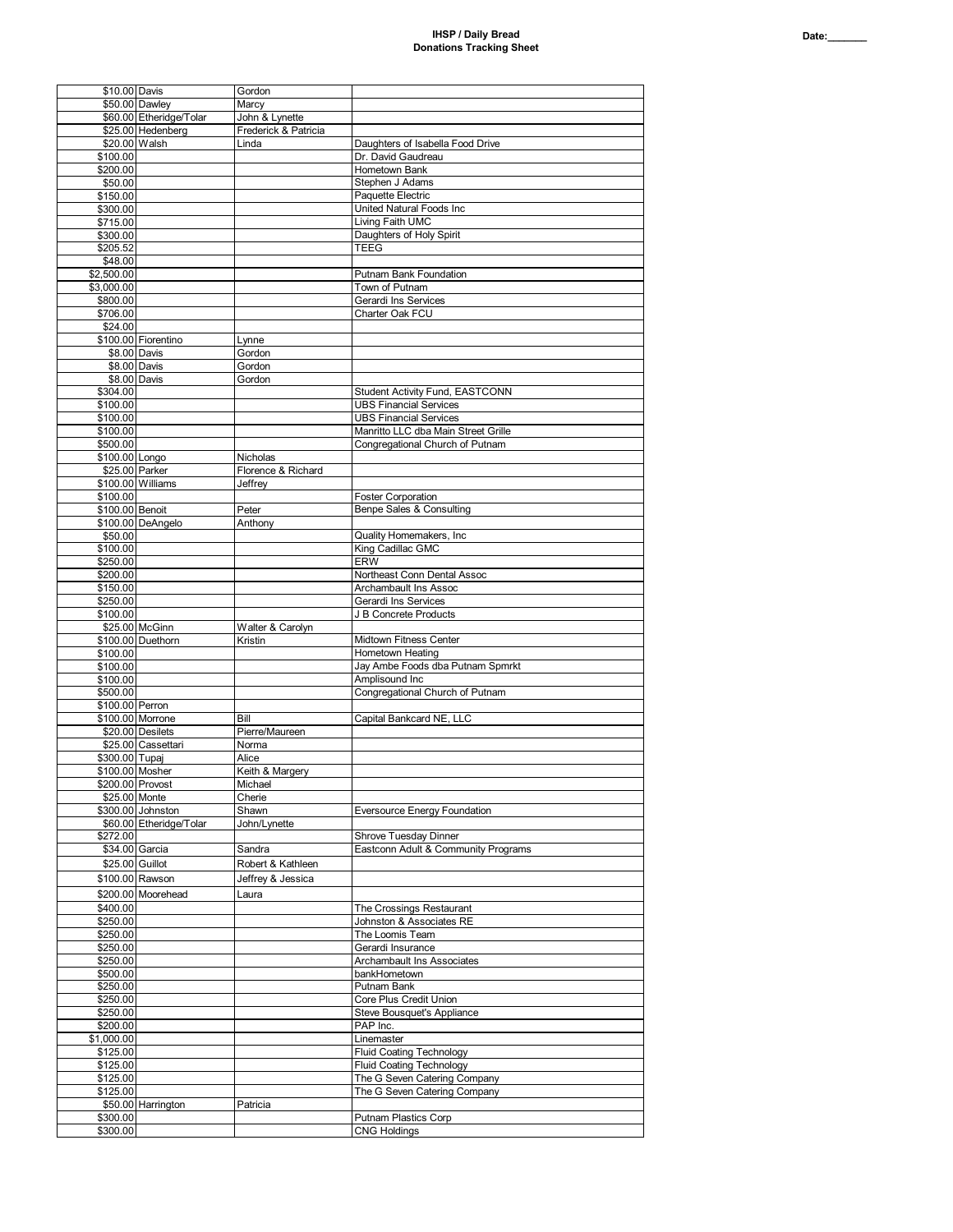| \$10.00 Davis        |                         |                      |                                             |
|----------------------|-------------------------|----------------------|---------------------------------------------|
|                      |                         | Gordon               |                                             |
|                      | \$50.00 Dawley          | Marcy                |                                             |
|                      | \$60.00 Etheridge/Tolar | John & Lynette       |                                             |
|                      |                         |                      |                                             |
|                      | \$25.00 Hedenberg       | Frederick & Patricia |                                             |
|                      | \$20.00 Walsh           | Linda                | Daughters of Isabella Food Drive            |
| \$100.00             |                         |                      | Dr. David Gaudreau                          |
|                      |                         |                      |                                             |
| \$200.00             |                         |                      | Hometown Bank                               |
| \$50.00              |                         |                      | Stephen J Adams                             |
|                      |                         |                      |                                             |
| \$150.00             |                         |                      | Paquette Electric                           |
| \$300.00             |                         |                      | United Natural Foods Inc                    |
|                      |                         |                      | Living Faith UMC                            |
| \$715.00             |                         |                      |                                             |
| \$300.00             |                         |                      | Daughters of Holy Spirit                    |
| \$205.52             |                         |                      | <b>TEEG</b>                                 |
|                      |                         |                      |                                             |
| \$48.00              |                         |                      |                                             |
| \$2,500.00           |                         |                      | Putnam Bank Foundation                      |
| \$3,000.00           |                         |                      | Town of Putnam                              |
|                      |                         |                      |                                             |
| \$800.00             |                         |                      | Gerardi Ins Services                        |
| \$706.00             |                         |                      | Charter Oak FCU                             |
|                      |                         |                      |                                             |
| \$24.00              |                         |                      |                                             |
|                      | \$100.00 Fiorentino     | Lynne                |                                             |
|                      | \$8.00 Davis            | Gordon               |                                             |
|                      |                         |                      |                                             |
|                      | \$8.00 Davis            | Gordon               |                                             |
|                      | \$8.00 Davis            | Gordon               |                                             |
|                      |                         |                      |                                             |
| \$304.00             |                         |                      | Student Activity Fund, EASTCONN             |
| \$100.00             |                         |                      | <b>UBS Financial Services</b>               |
| \$100.00             |                         |                      | <b>UBS Financial Services</b>               |
|                      |                         |                      |                                             |
| \$100.00             |                         |                      | Manritto LLC dba Main Street Grille         |
| \$500.00             |                         |                      | Congregational Church of Putnam             |
|                      |                         |                      |                                             |
| \$100.00 Longo       |                         | Nicholas             |                                             |
|                      | \$25.00 Parker          | Florence & Richard   |                                             |
|                      | \$100.00 Williams       | Jeffrev              |                                             |
|                      |                         |                      |                                             |
| \$100.00             |                         |                      | <b>Foster Corporation</b>                   |
| \$100.00 Benoit      |                         | Peter                | Benpe Sales & Consulting                    |
|                      |                         |                      |                                             |
|                      | \$100.00 DeAngelo       | Anthony              |                                             |
| \$50.00              |                         |                      | Quality Homemakers, Inc                     |
| \$100.00             |                         |                      | King Cadillac GMC                           |
|                      |                         |                      |                                             |
| \$250.00             |                         |                      | <b>ERW</b>                                  |
| \$200.00             |                         |                      | Northeast Conn Dental Assoc                 |
|                      |                         |                      |                                             |
| \$150.00             |                         |                      | Archambault Ins Assoc                       |
| \$250.00             |                         |                      | Gerardi Ins Services                        |
| \$100.00             |                         |                      | J B Concrete Products                       |
|                      |                         |                      |                                             |
|                      | \$25.00 McGinn          | Walter & Carolyn     |                                             |
|                      | \$100.00 Duethorn       | Kristin              | Midtown Fitness Center                      |
|                      |                         |                      |                                             |
| \$100.00             |                         |                      | Hometown Heating                            |
| \$100.00             |                         |                      | Jay Ambe Foods dba Putnam Spmrkt            |
|                      |                         |                      | Amplisound Inc                              |
|                      |                         |                      |                                             |
| \$100.00             |                         |                      |                                             |
| \$500.00             |                         |                      | Congregational Church of Putnam             |
|                      |                         |                      |                                             |
| \$100.00 Perron      |                         |                      |                                             |
|                      | \$100.00 Morrone        | Bill                 | Capital Bankcard NE, LLC                    |
|                      |                         |                      |                                             |
|                      | \$20.00 Desilets        | Pierre/Maureen       |                                             |
|                      | \$25.00 Cassettari      | Norma                |                                             |
| \$300.00 Tupaj       |                         | Alice                |                                             |
|                      |                         |                      |                                             |
|                      | \$100.00 Mosher         | Keith & Margery      |                                             |
|                      | \$200.00 Provost        | Michael              |                                             |
| \$25.00 Monte        |                         | Cherie               |                                             |
|                      |                         |                      |                                             |
|                      | \$300.00 Johnston       | Shawn                | <b>Eversource Energy Foundation</b>         |
|                      | \$60.00 Etheridge/Tolar | John/Lynette         |                                             |
| \$272.00             |                         |                      | Shrove Tuesday Dinner                       |
|                      |                         |                      |                                             |
|                      | \$34.00 Garcia          | Sandra               | Eastconn Adult & Community Programs         |
|                      | \$25.00 Guillot         | Robert & Kathleen    |                                             |
|                      |                         |                      |                                             |
|                      | \$100.00 Rawson         | Jeffrey & Jessica    |                                             |
|                      |                         |                      |                                             |
|                      | \$200.00 Moorehead      | Laura                |                                             |
| \$400.00             |                         |                      | The Crossings Restaurant                    |
|                      |                         |                      | Johnston & Associates RE                    |
| \$250.00             |                         |                      |                                             |
| \$250.00             |                         |                      | The Loomis Team                             |
| \$250.00             |                         |                      | Gerardi Insurance                           |
|                      |                         |                      |                                             |
| \$250.00             |                         |                      | Archambault Ins Associates                  |
| \$500.00             |                         |                      | bankHometown                                |
|                      |                         |                      |                                             |
| \$250.00             |                         |                      | Putnam Bank                                 |
| \$250.00             |                         |                      | Core Plus Credit Union                      |
| \$250.00             |                         |                      |                                             |
|                      |                         |                      | Steve Bousquet's Appliance                  |
| \$200.00             |                         |                      | PAP Inc.                                    |
| \$1,000.00           |                         |                      | Linemaster                                  |
|                      |                         |                      |                                             |
| \$125.00             |                         |                      | <b>Fluid Coating Technology</b>             |
| \$125.00             |                         |                      | <b>Fluid Coating Technology</b>             |
| \$125.00             |                         |                      |                                             |
|                      |                         |                      | The G Seven Catering Company                |
| \$125.00             |                         |                      | The G Seven Catering Company                |
|                      | \$50.00 Harrington      | Patricia             |                                             |
|                      |                         |                      |                                             |
| \$300.00<br>\$300.00 |                         |                      | Putnam Plastics Corp<br><b>CNG Holdings</b> |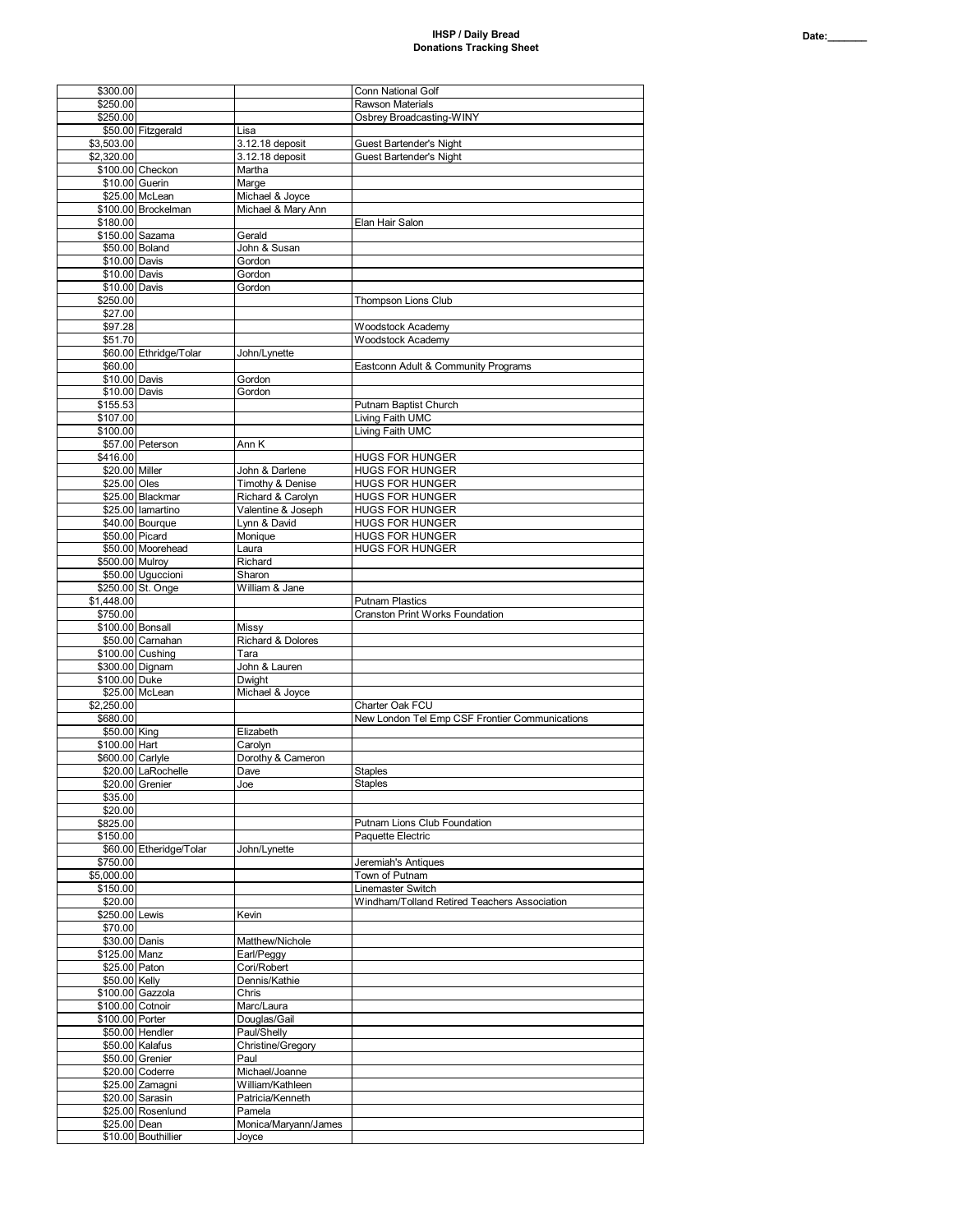## **IHSP / Daily Bread Donations Tracking Sheet**

| \$300.00                          |                                     |                                    | <b>Conn National Golf</b>                           |
|-----------------------------------|-------------------------------------|------------------------------------|-----------------------------------------------------|
| \$250.00<br>\$250.00              |                                     |                                    | <b>Rawson Materials</b><br>Osbrey Broadcasting-WINY |
|                                   | \$50.00 Fitzgerald                  | Lisa                               |                                                     |
| \$3,503.00                        |                                     | 3.12.18 deposit                    | Guest Bartender's Night                             |
| \$2,320.00                        |                                     | 3.12.18 deposit                    | Guest Bartender's Night                             |
|                                   | \$100.00 Checkon                    | Martha                             |                                                     |
|                                   | \$10.00 Guerin                      | Marge                              |                                                     |
|                                   | \$25.00 McLean                      | Michael & Joyce                    |                                                     |
|                                   | \$100.00 Brockelman                 | Michael & Mary Ann                 |                                                     |
| \$180.00                          | \$150.00 Sazama                     | Gerald                             | Elan Hair Salon                                     |
|                                   | \$50.00 Boland                      | John & Susan                       |                                                     |
| \$10.00 Davis                     |                                     | Gordon                             |                                                     |
| \$10.00 Davis                     |                                     | Gordon                             |                                                     |
| \$10.00 Davis                     |                                     | Gordon                             |                                                     |
| \$250.00                          |                                     |                                    | Thompson Lions Club                                 |
| \$27.00                           |                                     |                                    |                                                     |
| \$97.28<br>\$51.70                |                                     |                                    | Woodstock Academy<br>Woodstock Academy              |
|                                   | \$60.00 Ethridge/Tolar              | John/Lynette                       |                                                     |
| \$60.00                           |                                     |                                    | Eastconn Adult & Community Programs                 |
| \$10.00 Davis                     |                                     | Gordon                             |                                                     |
| \$10.00 Davis                     |                                     | Gordon                             |                                                     |
| \$155.53                          |                                     |                                    | Putnam Baptist Church                               |
| \$107.00                          |                                     |                                    | Living Faith UMC                                    |
| \$100.00                          | \$57.00 Peterson                    | Ann K                              | Living Faith UMC                                    |
| \$416.00                          |                                     |                                    | <b>HUGS FOR HUNGER</b>                              |
| \$20.00 Miller                    |                                     | John & Darlene                     | <b>HUGS FOR HUNGER</b>                              |
| \$25.00 Oles                      |                                     | Timothy & Denise                   | <b>HUGS FOR HUNGER</b>                              |
|                                   | \$25.00 Blackmar                    | Richard & Carolyn                  | <b>HUGS FOR HUNGER</b>                              |
|                                   | \$25.00 lamartino                   | Valentine & Joseph                 | <b>HUGS FOR HUNGER</b>                              |
|                                   | \$40.00 Bourque                     | Lynn & David                       | <b>HUGS FOR HUNGER</b>                              |
|                                   | \$50.00 Picard<br>\$50.00 Moorehead | Monique                            | <b>HUGS FOR HUNGER</b>                              |
| \$500.00 Mulroy                   |                                     | Laura<br>Richard                   | <b>HUGS FOR HUNGER</b>                              |
|                                   | \$50.00 Uguccioni                   | Sharon                             |                                                     |
|                                   | \$250.00 St. Onge                   | William & Jane                     |                                                     |
| \$1,448.00                        |                                     |                                    | <b>Putnam Plastics</b>                              |
| \$750.00                          |                                     |                                    | Cranston Print Works Foundation                     |
| \$100.00 Bonsall                  |                                     | Missy                              |                                                     |
|                                   | \$50.00 Carnahan                    | Richard & Dolores                  |                                                     |
|                                   | \$100.00 Cushing<br>\$300.00 Dignam | Tara<br>John & Lauren              |                                                     |
| \$100.00 Duke                     |                                     | Dwight                             |                                                     |
|                                   | \$25.00 McLean                      | Michael & Joyce                    |                                                     |
| \$2,250.00                        |                                     |                                    | Charter Oak FCU                                     |
| \$680.00                          |                                     |                                    | New London Tel Emp CSF Frontier Communications      |
| \$50.00 King                      |                                     | Elizabeth                          |                                                     |
| \$100.00 Hart<br>\$600.00 Carlyle |                                     | Carolyn                            |                                                     |
|                                   | \$20.00 LaRochelle                  | Dorothy & Cameron<br>Dave          | <b>Staples</b>                                      |
|                                   | \$20.00 Grenier                     | Joe                                | Staples                                             |
| \$35.00                           |                                     |                                    |                                                     |
| \$20.00                           |                                     |                                    |                                                     |
| \$825.00                          |                                     |                                    | Putnam Lions Club Foundation                        |
| \$150.00                          |                                     |                                    | Paquette Electric                                   |
| \$750.00                          | \$60.00 Etheridge/Tolar             | John/Lynette                       | Jeremiah's Antiques                                 |
| \$5,000.00                        |                                     |                                    | Town of Putnam                                      |
| \$150.00                          |                                     |                                    | Linemaster Switch                                   |
| \$20.00                           |                                     |                                    | Windham/Tolland Retired Teachers Association        |
| \$250.00 Lewis                    |                                     | Kevin                              |                                                     |
| \$70.00                           |                                     |                                    |                                                     |
| \$30.00 Danis                     |                                     | Matthew/Nichole                    |                                                     |
| \$125.00 Manz<br>\$25.00 Paton    |                                     | Earl/Peggy<br>Cori/Robert          |                                                     |
| \$50.00 Kelly                     |                                     | Dennis/Kathie                      |                                                     |
|                                   | \$100.00 Gazzola                    | Chris                              |                                                     |
| \$100.00 Cotnoir                  |                                     | Marc/Laura                         |                                                     |
| \$100.00 Porter                   |                                     | Douglas/Gail                       |                                                     |
|                                   | \$50.00 Hendler                     | Paul/Shelly                        |                                                     |
|                                   | \$50.00 Kalafus                     | Christine/Gregory                  |                                                     |
|                                   | \$50.00 Grenier                     | Paul                               |                                                     |
|                                   | \$20.00 Coderre<br>\$25.00 Zamagni  | Michael/Joanne<br>William/Kathleen |                                                     |
|                                   | \$20.00 Sarasin                     | Patricia/Kenneth                   |                                                     |
|                                   | \$25.00 Rosenlund                   | Pamela                             |                                                     |
|                                   |                                     | Monica/Maryann/James               |                                                     |
| \$25.00 Dean                      |                                     |                                    |                                                     |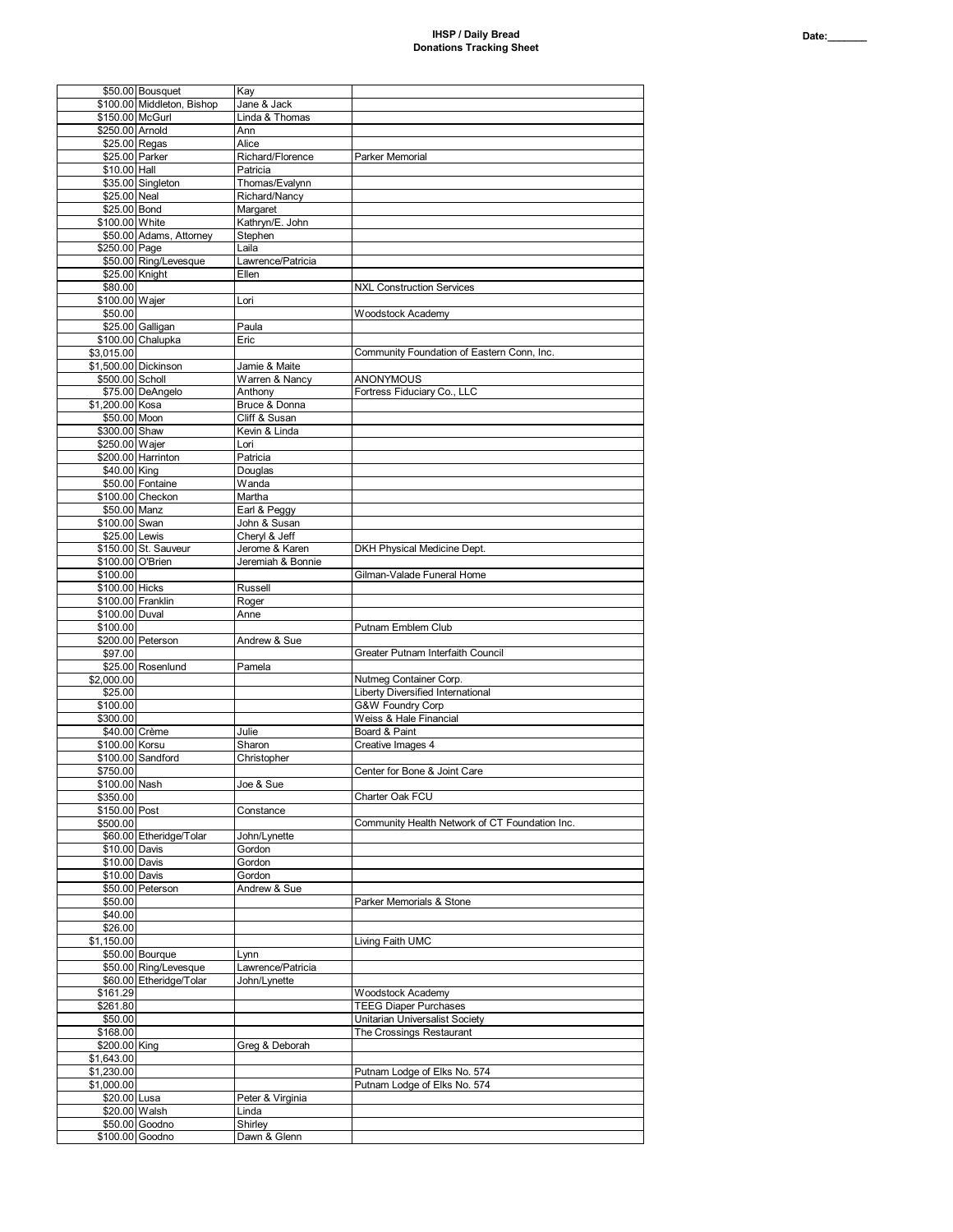| a trans<br>- - - | o |  |  |
|------------------|---|--|--|
|                  |   |  |  |

|                      | \$50.00 Bousquet           | Kay               |                                                |
|----------------------|----------------------------|-------------------|------------------------------------------------|
|                      | \$100.00 Middleton, Bishop |                   |                                                |
|                      |                            | Jane & Jack       |                                                |
| \$150.00 McGurl      |                            | Linda & Thomas    |                                                |
| \$250.00 Arnold      |                            | Ann               |                                                |
| \$25.00 Regas        |                            | Alice             |                                                |
| \$25.00 Parker       |                            | Richard/Florence  | Parker Memorial                                |
|                      |                            |                   |                                                |
| \$10.00 Hall         |                            | Patricia          |                                                |
|                      | \$35.00 Singleton          | Thomas/Evalynn    |                                                |
| \$25.00 Neal         |                            | Richard/Nancy     |                                                |
| \$25.00 Bond         |                            | Margaret          |                                                |
| \$100.00 White       |                            | Kathryn/E. John   |                                                |
|                      |                            |                   |                                                |
|                      | \$50.00 Adams, Attorney    | Stephen           |                                                |
| \$250.00 Page        |                            | Laila             |                                                |
|                      | \$50.00 Ring/Levesque      | Lawrence/Patricia |                                                |
| \$25.00 Knight       |                            | Ellen             |                                                |
| \$80.00              |                            |                   | <b>NXL Construction Services</b>               |
| \$100.00 Wajer       |                            | Lori              |                                                |
|                      |                            |                   |                                                |
| \$50.00              |                            |                   | Woodstock Academy                              |
|                      | \$25.00 Galligan           | Paula             |                                                |
|                      | \$100.00 Chalupka          | Eric              |                                                |
| \$3,015.00           |                            |                   | Community Foundation of Eastern Conn, Inc.     |
| \$1,500.00 Dickinson |                            | Jamie & Maite     |                                                |
|                      |                            |                   | <b>ANONYMOUS</b>                               |
| \$500.00 Scholl      |                            | Warren & Nancy    |                                                |
|                      | \$75.00 DeAngelo           | Anthony           | Fortress Fiduciary Co., LLC                    |
| \$1,200.00 Kosa      |                            | Bruce & Donna     |                                                |
| \$50.00 Moon         |                            | Cliff & Susan     |                                                |
| \$300.00 Shaw        |                            | Kevin & Linda     |                                                |
| \$250.00 Wajer       |                            | Lori              |                                                |
|                      |                            |                   |                                                |
|                      | \$200.00 Harrinton         | Patricia          |                                                |
| \$40.00 King         |                            | Douglas           |                                                |
|                      | \$50.00 Fontaine           | Wanda             |                                                |
|                      | \$100.00 Checkon           | Martha            |                                                |
| \$50.00 Manz         |                            | Earl & Peggy      |                                                |
|                      |                            |                   |                                                |
| \$100.00 Swan        |                            | John & Susan      |                                                |
| \$25.00 Lewis        |                            | Cheryl & Jeff     |                                                |
|                      | \$150.00 St. Sauveur       | Jerome & Karen    | DKH Physical Medicine Dept.                    |
| \$100.00 O'Brien     |                            | Jeremiah & Bonnie |                                                |
| \$100.00             |                            |                   | Gilman-Valade Funeral Home                     |
| \$100.00 Hicks       |                            |                   |                                                |
|                      |                            | Russell           |                                                |
| \$100.00 Franklin    |                            | Roger             |                                                |
| \$100.00 Duval       |                            |                   |                                                |
|                      |                            | Anne              |                                                |
|                      |                            |                   |                                                |
| \$100.00             |                            |                   | Putnam Emblem Club                             |
|                      | \$200.00 Peterson          | Andrew & Sue      |                                                |
| \$97.00              |                            |                   | Greater Putnam Interfaith Council              |
|                      | \$25.00 Rosenlund          | Pamela            |                                                |
| \$2,000.00           |                            |                   | Nutmeg Container Corp.                         |
|                      |                            |                   |                                                |
| \$25.00              |                            |                   | <b>Liberty Diversified International</b>       |
| \$100.00             |                            |                   | <b>G&amp;W Foundry Corp</b>                    |
| \$300.00             |                            |                   | Weiss & Hale Financial                         |
| \$40.00 Crème        |                            | Julie             | Board & Paint                                  |
| \$100.00 Korsu       |                            | Sharon            | Creative Images 4                              |
|                      | \$100.00 Sandford          | Christopher       |                                                |
| \$750.00             |                            |                   | Center for Bone & Joint Care                   |
|                      |                            |                   |                                                |
| \$100.00 Nash        |                            | Joe & Sue         |                                                |
| \$350.00             |                            |                   | Charter Oak FCU                                |
| \$150.00 Post        |                            | Constance         |                                                |
| \$500.00             |                            |                   | Community Health Network of CT Foundation Inc. |
|                      | \$60.00 Etheridge/Tolar    | John/Lynette      |                                                |
| \$10.00 Davis        |                            | Gordon            |                                                |
|                      |                            |                   |                                                |
| \$10.00 Davis        |                            | Gordon            |                                                |
| \$10.00 Davis        |                            | Gordon            |                                                |
|                      | \$50.00 Peterson           | Andrew & Sue      |                                                |
| \$50.00              |                            |                   | Parker Memorials & Stone                       |
| \$40.00              |                            |                   |                                                |
| \$26.00              |                            |                   |                                                |
|                      |                            |                   |                                                |
| \$1,150.00           |                            |                   | Living Faith UMC                               |
|                      | \$50.00 Bourque            | Lynn              |                                                |
|                      | \$50.00 Ring/Levesque      | Lawrence/Patricia |                                                |
|                      | \$60.00 Etheridge/Tolar    | John/Lynette      |                                                |
| \$161.29             |                            |                   | <b>Woodstock Academy</b>                       |
| \$261.80             |                            |                   | <b>TEEG Diaper Purchases</b>                   |
|                      |                            |                   |                                                |
| \$50.00              |                            |                   | Unitarian Universalist Society                 |
| \$168.00             |                            |                   | The Crossings Restaurant                       |
| \$200.00 King        |                            | Greg & Deborah    |                                                |
| \$1,643.00           |                            |                   |                                                |
| \$1,230.00           |                            |                   | Putnam Lodge of Elks No. 574                   |
|                      |                            |                   |                                                |
| \$1,000.00           |                            |                   | Putnam Lodge of Elks No. 574                   |
| \$20.00 Lusa         |                            | Peter & Virginia  |                                                |
| \$20.00 Walsh        |                            | Linda             |                                                |
|                      | \$50.00 Goodno             | Shirley           |                                                |
|                      | \$100.00 Goodno            | Dawn & Glenn      |                                                |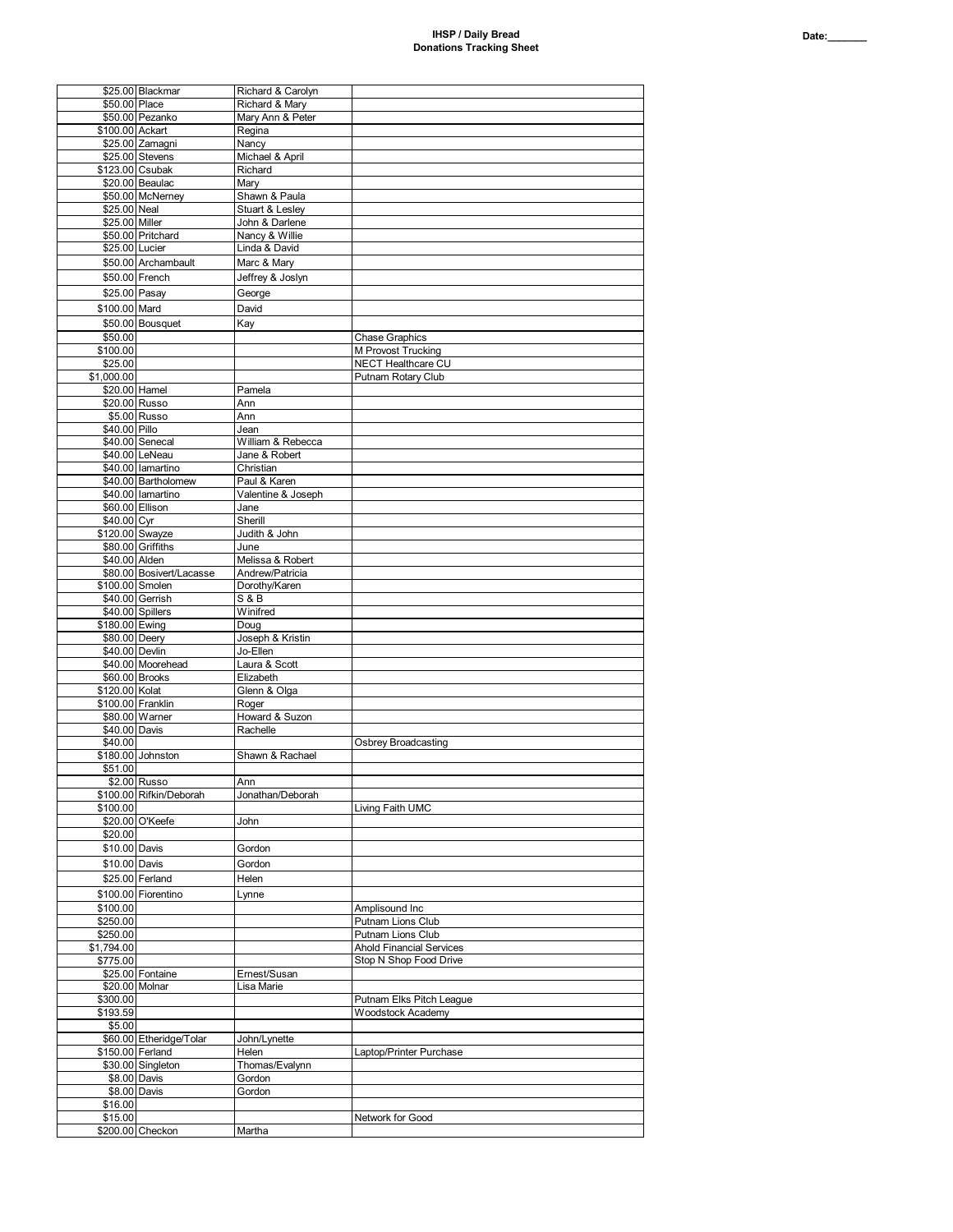|                  | \$25.00 Blackmar         | Richard & Carolyn  |                                 |
|------------------|--------------------------|--------------------|---------------------------------|
| \$50.00 Place    |                          | Richard & Marv     |                                 |
|                  | \$50.00 Pezanko          | Mary Ann & Peter   |                                 |
| \$100.00 Ackart  |                          | Regina             |                                 |
|                  | \$25.00 Zamagni          | Nancy              |                                 |
|                  | \$25.00 Stevens          | Michael & April    |                                 |
| \$123.00 Csubak  |                          | Richard            |                                 |
|                  | \$20.00 Beaulac          | Mary               |                                 |
|                  | \$50.00 McNerney         | Shawn & Paula      |                                 |
| \$25.00 Neal     |                          | Stuart & Lesley    |                                 |
|                  |                          |                    |                                 |
| \$25.00 Miller   |                          | John & Darlene     |                                 |
|                  | \$50.00 Pritchard        | Nancy & Willie     |                                 |
| \$25.00 Lucier   |                          | Linda & David      |                                 |
|                  | \$50.00 Archambault      | Marc & Marv        |                                 |
|                  | \$50.00 French           | Jeffrey & Joslyn   |                                 |
|                  |                          |                    |                                 |
| \$25.00 Pasay    |                          | George             |                                 |
| \$100.00 Mard    |                          | David              |                                 |
|                  | \$50.00 Bousquet         | Kay                |                                 |
| \$50.00          |                          |                    | <b>Chase Graphics</b>           |
| \$100.00         |                          |                    | M Provost Trucking              |
|                  |                          |                    |                                 |
| \$25.00          |                          |                    | <b>NECT Healthcare CU</b>       |
| \$1,000.00       |                          |                    | Putnam Rotary Club              |
| \$20.00 Hamel    |                          | Pamela             |                                 |
|                  | \$20.00 Russo            | Ann                |                                 |
|                  | \$5.00 Russo             | Ann                |                                 |
| \$40.00 Pillo    |                          | Jean               |                                 |
|                  | \$40.00 Senecal          | William & Rebecca  |                                 |
|                  | \$40.00 LeNeau           | Jane & Robert      |                                 |
|                  | \$40.00 lamartino        | Christian          |                                 |
|                  | \$40.00 Bartholomew      | Paul & Karen       |                                 |
|                  |                          |                    |                                 |
|                  | \$40.00 lamartino        | Valentine & Joseph |                                 |
|                  | \$60.00 Ellison          | Jane               |                                 |
| \$40.00 Cyr      |                          | Sherill            |                                 |
| \$120.00 Swayze  |                          | Judith & John      |                                 |
|                  | \$80.00 Griffiths        | June               |                                 |
| \$40.00 Alden    |                          | Melissa & Robert   |                                 |
|                  | \$80.00 Bosivert/Lacasse | Andrew/Patricia    |                                 |
| \$100.00 Smolen  |                          | Dorothy/Karen      |                                 |
|                  | \$40.00 Gerrish          | <b>S &amp; B</b>   |                                 |
|                  |                          |                    |                                 |
|                  |                          |                    |                                 |
|                  | \$40.00 Spillers         | Winifred           |                                 |
| \$180.00 Ewing   |                          | Doug               |                                 |
| \$80.00 Deery    |                          | Joseph & Kristin   |                                 |
| \$40.00 Devlin   |                          | Jo-Ellen           |                                 |
|                  | \$40.00 Moorehead        | Laura & Scott      |                                 |
|                  | \$60.00 Brooks           | Elizabeth          |                                 |
| \$120.00 Kolat   |                          | Glenn & Olga       |                                 |
|                  | \$100.00 Franklin        | Roger              |                                 |
|                  |                          |                    |                                 |
|                  | \$80.00 Warner           | Howard & Suzon     |                                 |
| \$40.00 Davis    |                          | Rachelle           |                                 |
| \$40.00          |                          |                    | <b>Osbrey Broadcasting</b>      |
|                  | \$180.00 Johnston        | Shawn & Rachael    |                                 |
| \$51.00          |                          |                    |                                 |
|                  | \$2.00 Russo             | Ann                |                                 |
|                  | \$100.00 Rifkin/Deborah  | Jonathan/Deborah   |                                 |
| \$100.00         |                          |                    | Living Faith UMC                |
|                  | \$20.00 O'Keefe          | John               |                                 |
| \$20.00          |                          |                    |                                 |
| \$10.00 Davis    |                          | Gordon             |                                 |
|                  |                          |                    |                                 |
| \$10.00 Davis    |                          | Gordon             |                                 |
|                  | \$25.00 Ferland          | Helen              |                                 |
|                  | \$100.00 Fiorentino      | Lynne              |                                 |
| \$100.00         |                          |                    | Amplisound Inc                  |
|                  |                          |                    | Putnam Lions Club               |
| \$250.00         |                          |                    |                                 |
| \$250.00         |                          |                    | Putnam Lions Club               |
| \$1,794.00       |                          |                    | <b>Ahold Financial Services</b> |
| \$775.00         |                          |                    | Stop N Shop Food Drive          |
|                  | \$25.00 Fontaine         | Ernest/Susan       |                                 |
|                  | \$20.00 Molnar           | Lisa Marie         |                                 |
| \$300.00         |                          |                    | Putnam Elks Pitch League        |
| \$193.59         |                          |                    | <b>Woodstock Academy</b>        |
| \$5.00           |                          |                    |                                 |
|                  | \$60.00 Etheridge/Tolar  | John/Lynette       |                                 |
| \$150.00 Ferland |                          | Helen              | Laptop/Printer Purchase         |
|                  |                          |                    |                                 |
|                  | \$30.00 Singleton        | Thomas/Evalynn     |                                 |
|                  | \$8.00 Davis             | Gordon             |                                 |
|                  | \$8.00 Davis             | Gordon             |                                 |
| \$16.00          |                          |                    |                                 |
| \$15.00          | \$200.00 Checkon         | Martha             | Network for Good                |